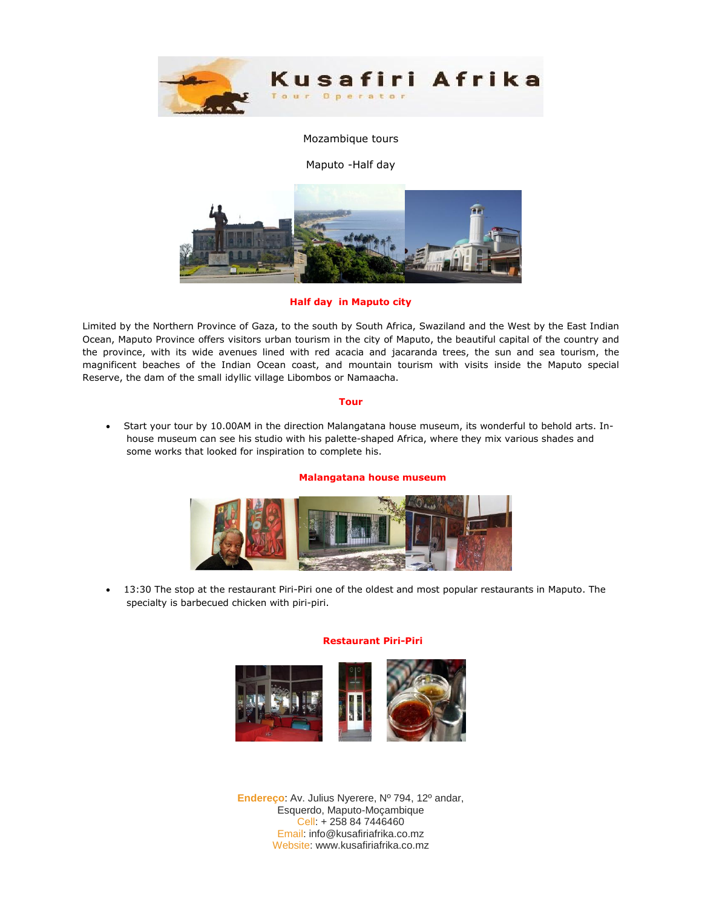

## Mozambique tours

Maputo -Half day



**Half day in Maputo city** 

Limited by the Northern Province of Gaza, to the south by South Africa, Swaziland and the West by the East Indian Ocean, Maputo Province offers visitors urban tourism in the city of Maputo, the beautiful capital of the country and the province, with its wide avenues lined with red acacia and jacaranda trees, the sun and sea tourism, the magnificent beaches of the Indian Ocean coast, and mountain tourism with visits inside the Maputo special Reserve, the dam of the small idyllic village Libombos or Namaacha.

### **Tour**

 Start your tour by 10.00AM in the direction Malangatana house museum, its wonderful to behold arts. Inhouse museum can see his studio with his palette-shaped Africa, where they mix various shades and some works that looked for inspiration to complete his.

### **Malangatana house museum**



 13:30 The stop at the restaurant Piri-Piri one of the oldest and most popular restaurants in Maputo. The specialty is barbecued chicken with piri-piri.

### **Restaurant Piri-Piri**



**Endereço**: Av. Julius Nyerere, Nº 794, 12º andar, Esquerdo, Maputo-Moçambique Cell: + 258 84 7446460 Email: info@kusafiriafrika.co.mz Website: www.kusafiriafrika.co.mz